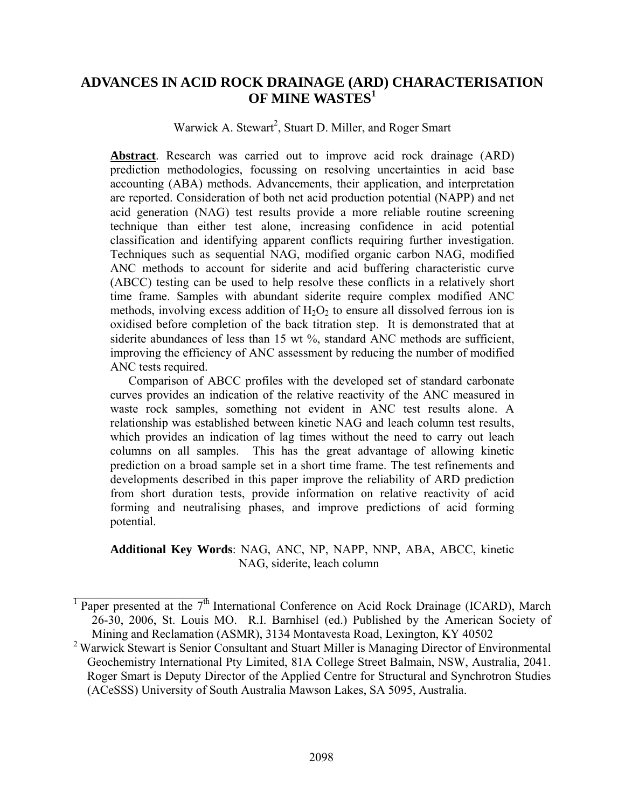# **ADVANCES IN ACID ROCK DRAINAGE (ARD) CHARACTERISATION OF MINE WASTES<sup>1</sup>**

Warwick A. Stewart<sup>2</sup>, Stuart D. Miller, and Roger Smart

**Abstract**. Research was carried out to improve acid rock drainage (ARD) prediction methodologies, focussing on resolving uncertainties in acid base accounting (ABA) methods. Advancements, their application, and interpretation are reported. Consideration of both net acid production potential (NAPP) and net acid generation (NAG) test results provide a more reliable routine screening technique than either test alone, increasing confidence in acid potential classification and identifying apparent conflicts requiring further investigation. Techniques such as sequential NAG, modified organic carbon NAG, modified ANC methods to account for siderite and acid buffering characteristic curve (ABCC) testing can be used to help resolve these conflicts in a relatively short time frame. Samples with abundant siderite require complex modified ANC methods, involving excess addition of  $H_2O_2$  to ensure all dissolved ferrous ion is oxidised before completion of the back titration step. It is demonstrated that at siderite abundances of less than 15 wt %, standard ANC methods are sufficient, improving the efficiency of ANC assessment by reducing the number of modified ANC tests required.

Comparison of ABCC profiles with the developed set of standard carbonate curves provides an indication of the relative reactivity of the ANC measured in waste rock samples, something not evident in ANC test results alone. A relationship was established between kinetic NAG and leach column test results, which provides an indication of lag times without the need to carry out leach columns on all samples. This has the great advantage of allowing kinetic prediction on a broad sample set in a short time frame. The test refinements and developments described in this paper improve the reliability of ARD prediction from short duration tests, provide information on relative reactivity of acid forming and neutralising phases, and improve predictions of acid forming potential.

**Additional Key Words**: NAG, ANC, NP, NAPP, NNP, ABA, ABCC, kinetic NAG, siderite, leach column

 $\mathcal{L}_\text{max}$  , where  $\mathcal{L}_\text{max}$  , we have the set of  $\mathcal{L}_\text{max}$ 

<sup>&</sup>lt;sup>1</sup> Paper presented at the  $7<sup>th</sup>$  International Conference on Acid Rock Drainage (ICARD), March 26-30, 2006, St. Louis MO. R.I. Barnhisel (ed.) Published by the American Society of Mining and Reclamation (ASMR), 3134 Montavesta Road, Lexington, KY 40502

<sup>&</sup>lt;sup>2</sup> Warwick Stewart is Senior Consultant and Stuart Miller is Managing Director of Environmental Geochemistry International Pty Limited, 81A College Street Balmain, NSW, Australia, 2041. Roger Smart is Deputy Director of the Applied Centre for Structural and Synchrotron Studies (ACeSSS) University of South Australia Mawson Lakes, SA 5095, Australia.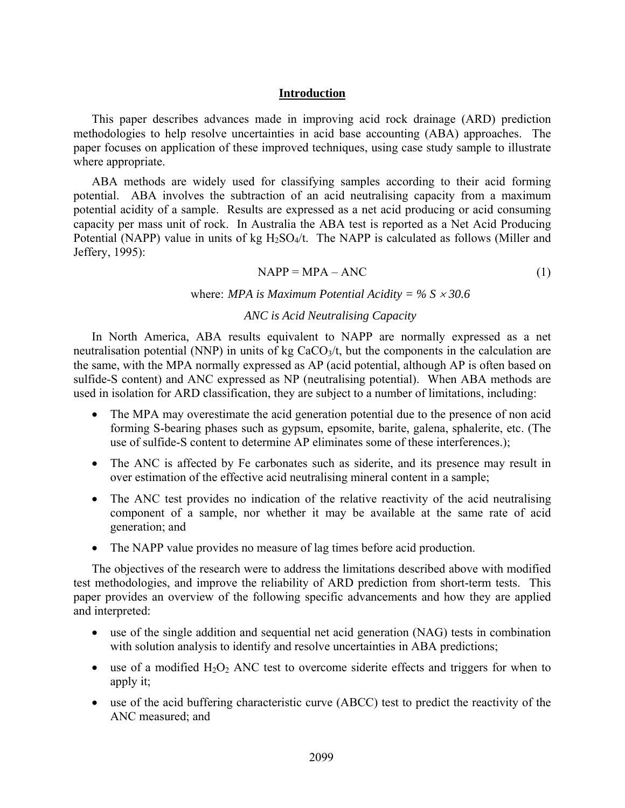#### **Introduction**

This paper describes advances made in improving acid rock drainage (ARD) prediction methodologies to help resolve uncertainties in acid base accounting (ABA) approaches. The paper focuses on application of these improved techniques, using case study sample to illustrate where appropriate.

ABA methods are widely used for classifying samples according to their acid forming potential. ABA involves the subtraction of an acid neutralising capacity from a maximum potential acidity of a sample. Results are expressed as a net acid producing or acid consuming capacity per mass unit of rock. In Australia the ABA test is reported as a Net Acid Producing Potential (NAPP) value in units of kg  $H_2SO_4/t$ . The NAPP is calculated as follows (Miller and Jeffery, 1995):

$$
NAPP = MPA - ANC
$$
 (1)

where: *MPA is Maximum Potential Acidity = % S* × *30.6* 

#### *ANC is Acid Neutralising Capacity*

In North America, ABA results equivalent to NAPP are normally expressed as a net neutralisation potential (NNP) in units of kg  $CaCO<sub>3</sub>/t$ , but the components in the calculation are the same, with the MPA normally expressed as AP (acid potential, although AP is often based on sulfide-S content) and ANC expressed as NP (neutralising potential). When ABA methods are used in isolation for ARD classification, they are subject to a number of limitations, including:

- The MPA may overestimate the acid generation potential due to the presence of non acid forming S-bearing phases such as gypsum, epsomite, barite, galena, sphalerite, etc. (The use of sulfide-S content to determine AP eliminates some of these interferences.);
- The ANC is affected by Fe carbonates such as siderite, and its presence may result in over estimation of the effective acid neutralising mineral content in a sample;
- The ANC test provides no indication of the relative reactivity of the acid neutralising component of a sample, nor whether it may be available at the same rate of acid generation; and
- The NAPP value provides no measure of lag times before acid production.

The objectives of the research were to address the limitations described above with modified test methodologies, and improve the reliability of ARD prediction from short-term tests. This paper provides an overview of the following specific advancements and how they are applied and interpreted:

- use of the single addition and sequential net acid generation (NAG) tests in combination with solution analysis to identify and resolve uncertainties in ABA predictions;
- use of a modified  $H_2O_2$  ANC test to overcome siderite effects and triggers for when to apply it;
- use of the acid buffering characteristic curve (ABCC) test to predict the reactivity of the ANC measured; and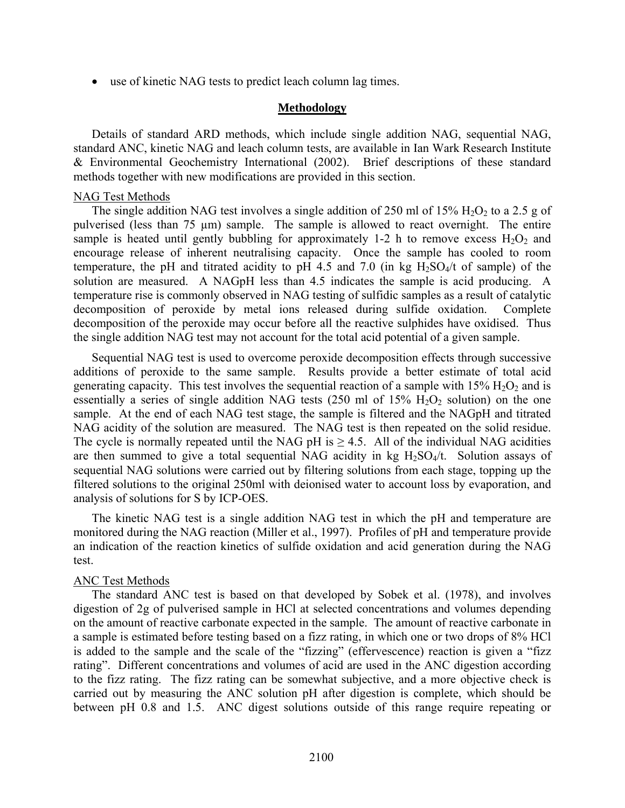• use of kinetic NAG tests to predict leach column lag times.

#### **Methodology**

Details of standard ARD methods, which include single addition NAG, sequential NAG, standard ANC, kinetic NAG and leach column tests, are available in Ian Wark Research Institute & Environmental Geochemistry International (2002). Brief descriptions of these standard methods together with new modifications are provided in this section.

#### NAG Test Methods

The single addition NAG test involves a single addition of 250 ml of 15%  $H_2O_2$  to a 2.5 g of pulverised (less than 75 µm) sample. The sample is allowed to react overnight. The entire sample is heated until gently bubbling for approximately 1-2 h to remove excess  $H_2O_2$  and encourage release of inherent neutralising capacity. Once the sample has cooled to room temperature, the pH and titrated acidity to pH 4.5 and 7.0 (in kg  $H_2SO_4/t$  of sample) of the solution are measured. A NAGpH less than 4.5 indicates the sample is acid producing. A temperature rise is commonly observed in NAG testing of sulfidic samples as a result of catalytic decomposition of peroxide by metal ions released during sulfide oxidation. Complete decomposition of the peroxide may occur before all the reactive sulphides have oxidised. Thus the single addition NAG test may not account for the total acid potential of a given sample.

Sequential NAG test is used to overcome peroxide decomposition effects through successive additions of peroxide to the same sample. Results provide a better estimate of total acid generating capacity. This test involves the sequential reaction of a sample with  $15\%$  H<sub>2</sub>O<sub>2</sub> and is essentially a series of single addition NAG tests (250 ml of  $15\%$  H<sub>2</sub>O<sub>2</sub> solution) on the one sample. At the end of each NAG test stage, the sample is filtered and the NAGpH and titrated NAG acidity of the solution are measured. The NAG test is then repeated on the solid residue. The cycle is normally repeated until the NAG pH is  $\geq$  4.5. All of the individual NAG acidities are then summed to give a total sequential NAG acidity in kg  $H<sub>2</sub>SO<sub>4</sub>/t$ . Solution assays of sequential NAG solutions were carried out by filtering solutions from each stage, topping up the filtered solutions to the original 250ml with deionised water to account loss by evaporation, and analysis of solutions for S by ICP-OES.

The kinetic NAG test is a single addition NAG test in which the pH and temperature are monitored during the NAG reaction (Miller et al., 1997). Profiles of pH and temperature provide an indication of the reaction kinetics of sulfide oxidation and acid generation during the NAG test.

## ANC Test Methods

The standard ANC test is based on that developed by Sobek et al. (1978), and involves digestion of 2g of pulverised sample in HCl at selected concentrations and volumes depending on the amount of reactive carbonate expected in the sample. The amount of reactive carbonate in a sample is estimated before testing based on a fizz rating, in which one or two drops of 8% HCl is added to the sample and the scale of the "fizzing" (effervescence) reaction is given a "fizz rating". Different concentrations and volumes of acid are used in the ANC digestion according to the fizz rating. The fizz rating can be somewhat subjective, and a more objective check is carried out by measuring the ANC solution pH after digestion is complete, which should be between pH 0.8 and 1.5. ANC digest solutions outside of this range require repeating or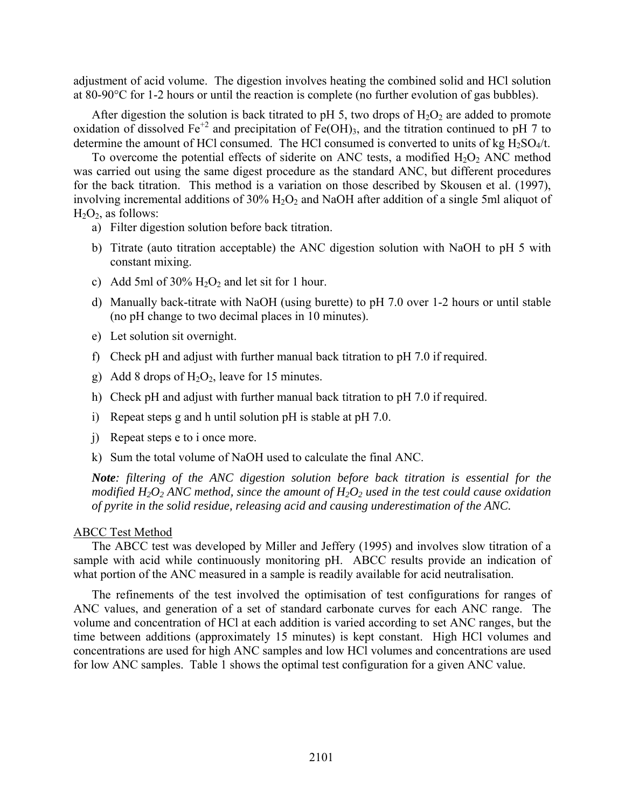adjustment of acid volume. The digestion involves heating the combined solid and HCl solution at 80-90°C for 1-2 hours or until the reaction is complete (no further evolution of gas bubbles).

After digestion the solution is back titrated to pH 5, two drops of  $H_2O_2$  are added to promote oxidation of dissolved Fe<sup>+2</sup> and precipitation of Fe(OH)<sub>3</sub>, and the titration continued to pH 7 to determine the amount of HCl consumed. The HCl consumed is converted to units of kg  $H_2SO_4/t$ .

To overcome the potential effects of siderite on ANC tests, a modified  $H_2O_2$  ANC method was carried out using the same digest procedure as the standard ANC, but different procedures for the back titration. This method is a variation on those described by Skousen et al. (1997), involving incremental additions of 30% H<sub>2</sub>O<sub>2</sub> and NaOH after addition of a single 5ml aliquot of  $H_2O_2$ , as follows:

- a) Filter digestion solution before back titration.
- b) Titrate (auto titration acceptable) the ANC digestion solution with NaOH to pH 5 with constant mixing.
- c) Add 5ml of  $30\%$  H<sub>2</sub>O<sub>2</sub> and let sit for 1 hour.
- d) Manually back-titrate with NaOH (using burette) to pH 7.0 over 1-2 hours or until stable (no pH change to two decimal places in 10 minutes).
- e) Let solution sit overnight.
- f) Check pH and adjust with further manual back titration to pH 7.0 if required.
- g) Add 8 drops of  $H_2O_2$ , leave for 15 minutes.
- h) Check pH and adjust with further manual back titration to pH 7.0 if required.
- i) Repeat steps g and h until solution pH is stable at pH 7.0.
- j) Repeat steps e to i once more.
- k) Sum the total volume of NaOH used to calculate the final ANC.

*Note: filtering of the ANC digestion solution before back titration is essential for the modified H<sub>2</sub>O<sub>2</sub> ANC method, since the amount of H<sub>2</sub>O<sub>2</sub> used in the test could cause oxidation of pyrite in the solid residue, releasing acid and causing underestimation of the ANC.* 

### ABCC Test Method

The ABCC test was developed by Miller and Jeffery (1995) and involves slow titration of a sample with acid while continuously monitoring pH. ABCC results provide an indication of what portion of the ANC measured in a sample is readily available for acid neutralisation.

The refinements of the test involved the optimisation of test configurations for ranges of ANC values, and generation of a set of standard carbonate curves for each ANC range. The volume and concentration of HCl at each addition is varied according to set ANC ranges, but the time between additions (approximately 15 minutes) is kept constant. High HCl volumes and concentrations are used for high ANC samples and low HCl volumes and concentrations are used for low ANC samples. Table 1 shows the optimal test configuration for a given ANC value.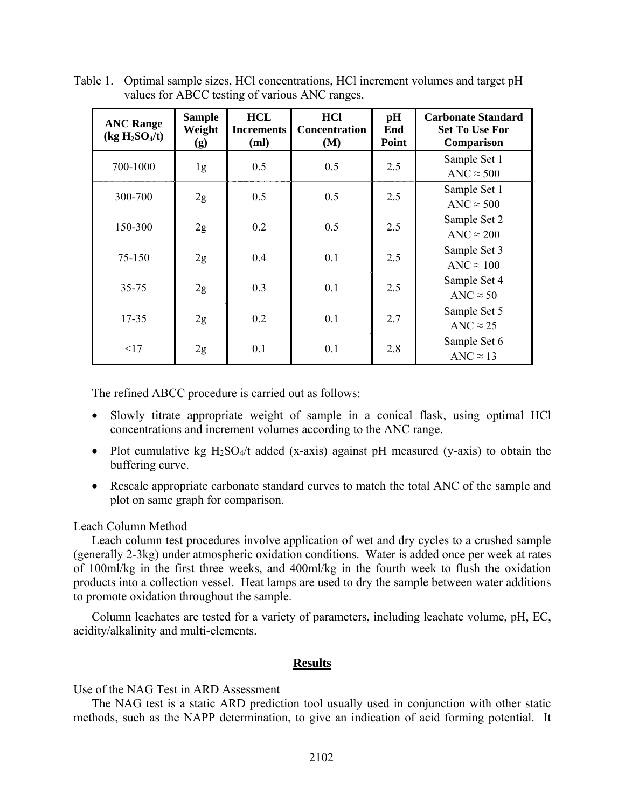| <b>ANC Range</b><br>(kg H <sub>2</sub> SO <sub>4</sub> /t) | <b>Sample</b><br>Weight<br>(g) | <b>HCL</b><br><b>Increments</b><br>(ml) | <b>HCl</b><br>Concentration<br>(M) | pH<br>End<br>Point | <b>Carbonate Standard</b><br><b>Set To Use For</b><br>Comparison |
|------------------------------------------------------------|--------------------------------|-----------------------------------------|------------------------------------|--------------------|------------------------------------------------------------------|
| 700-1000                                                   | 1g                             | 0.5                                     | 0.5                                | 2.5                | Sample Set 1<br>ANC $\approx$ 500                                |
| 300-700                                                    | 2g                             | 0.5                                     | 0.5                                | 2.5                | Sample Set 1<br>ANC $\approx$ 500                                |
| 150-300                                                    | 2g                             | 0.2                                     | 0.5                                | 2.5                | Sample Set 2<br>ANC $\approx$ 200                                |
| 75-150                                                     | 2g                             | 0.4                                     | 0.1                                | 2.5                | Sample Set 3<br>ANC $\approx 100$                                |
| $35 - 75$                                                  | 2g                             | 0.3                                     | 0.1                                | 2.5                | Sample Set 4<br>ANC $\approx$ 50                                 |
| 17-35                                                      | 2g                             | 0.2                                     | 0.1                                | 2.7                | Sample Set 5<br>ANC $\approx$ 25                                 |
| <17                                                        | 2g                             | 0.1                                     | 0.1                                | 2.8                | Sample Set 6<br>ANC $\approx$ 13                                 |

Table 1. Optimal sample sizes, HCl concentrations, HCl increment volumes and target pH values for ABCC testing of various ANC ranges.

The refined ABCC procedure is carried out as follows:

- Slowly titrate appropriate weight of sample in a conical flask, using optimal HCl concentrations and increment volumes according to the ANC range.
- Plot cumulative kg  $H_2SO_4/t$  added (x-axis) against pH measured (y-axis) to obtain the buffering curve.
- Rescale appropriate carbonate standard curves to match the total ANC of the sample and plot on same graph for comparison.

## Leach Column Method

Leach column test procedures involve application of wet and dry cycles to a crushed sample (generally 2-3kg) under atmospheric oxidation conditions. Water is added once per week at rates of 100ml/kg in the first three weeks, and 400ml/kg in the fourth week to flush the oxidation products into a collection vessel. Heat lamps are used to dry the sample between water additions to promote oxidation throughout the sample.

Column leachates are tested for a variety of parameters, including leachate volume, pH, EC, acidity/alkalinity and multi-elements.

#### **Results**

## Use of the NAG Test in ARD Assessment

The NAG test is a static ARD prediction tool usually used in conjunction with other static methods, such as the NAPP determination, to give an indication of acid forming potential. It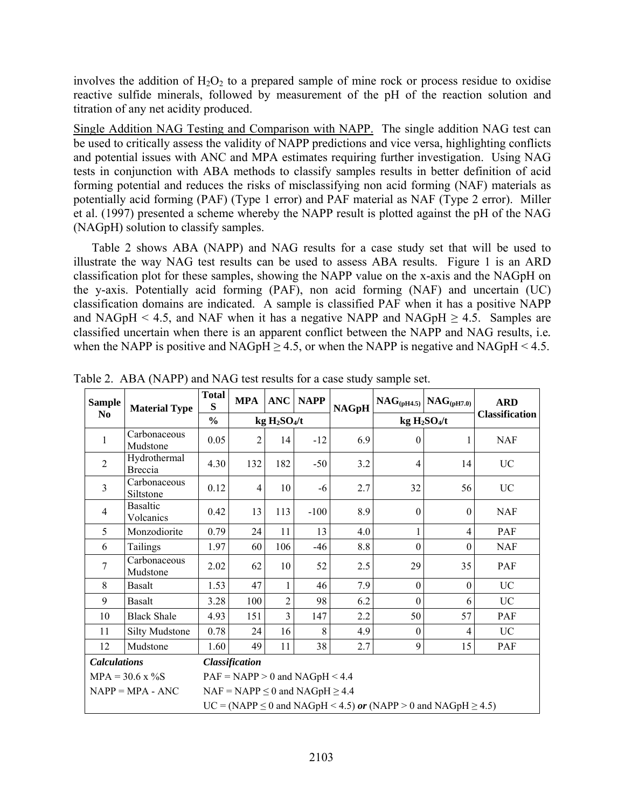involves the addition of  $H_2O_2$  to a prepared sample of mine rock or process residue to oxidise reactive sulfide minerals, followed by measurement of the pH of the reaction solution and titration of any net acidity produced.

Single Addition NAG Testing and Comparison with NAPP. The single addition NAG test can be used to critically assess the validity of NAPP predictions and vice versa, highlighting conflicts and potential issues with ANC and MPA estimates requiring further investigation. Using NAG tests in conjunction with ABA methods to classify samples results in better definition of acid forming potential and reduces the risks of misclassifying non acid forming (NAF) materials as potentially acid forming (PAF) (Type 1 error) and PAF material as NAF (Type 2 error). Miller et al. (1997) presented a scheme whereby the NAPP result is plotted against the pH of the NAG (NAGpH) solution to classify samples.

Table 2 shows ABA (NAPP) and NAG results for a case study set that will be used to illustrate the way NAG test results can be used to assess ABA results. Figure 1 is an ARD classification plot for these samples, showing the NAPP value on the x-axis and the NAGpH on the y-axis. Potentially acid forming (PAF), non acid forming (NAF) and uncertain (UC) classification domains are indicated. A sample is classified PAF when it has a positive NAPP and NAGpH < 4.5, and NAF when it has a negative NAPP and NAGpH  $\geq$  4.5. Samples are classified uncertain when there is an apparent conflict between the NAPP and NAG results, i.e*.* when the NAPP is positive and NAGpH  $\geq$  4.5, or when the NAPP is negative and NAGpH < 4.5.

| <b>Sample</b>           | <b>Material Type</b>           | <b>Total</b><br>S                                                               | <b>MPA</b>                             | <b>ANC</b>                           | <b>NAPP</b> | <b>NAGpH</b> |                  | $NAG(pH4.5)$ $NAG(pH7.0)$            | <b>ARD</b>            |
|-------------------------|--------------------------------|---------------------------------------------------------------------------------|----------------------------------------|--------------------------------------|-------------|--------------|------------------|--------------------------------------|-----------------------|
| N <sub>0</sub>          |                                | $\frac{0}{0}$                                                                   |                                        | kg H <sub>2</sub> SO <sub>4</sub> /t |             |              |                  | kg H <sub>2</sub> SO <sub>4</sub> /t | <b>Classification</b> |
| 1                       | Carbonaceous<br>Mudstone       | 0.05                                                                            | $\overline{2}$                         | 14                                   | $-12$       | 6.9          | $\theta$         |                                      | <b>NAF</b>            |
| $\overline{2}$          | Hydrothermal<br><b>Breccia</b> | 4.30                                                                            | 132                                    | 182                                  | $-50$       | 3.2          | 4                | 14                                   | <b>UC</b>             |
| $\overline{3}$          | Carbonaceous<br>Siltstone      | 0.12                                                                            | 4                                      | 10                                   | -6          | 2.7          | 32               | 56                                   | UC                    |
| $\overline{4}$          | <b>Basaltic</b><br>Volcanics   | 0.42                                                                            | 13                                     | 113                                  | $-100$      | 8.9          | $\boldsymbol{0}$ | $\overline{0}$                       | <b>NAF</b>            |
| 5                       | Monzodiorite                   | 0.79                                                                            | 24                                     | 11                                   | 13          | 4.0          |                  | 4                                    | <b>PAF</b>            |
| 6                       | Tailings                       | 1.97                                                                            | 60                                     | 106                                  | -46         | 8.8          | $\boldsymbol{0}$ | $\overline{0}$                       | <b>NAF</b>            |
| 7                       | Carbonaceous<br>Mudstone       | 2.02                                                                            | 62                                     | 10                                   | 52          | 2.5          | 29               | 35                                   | <b>PAF</b>            |
| 8                       | Basalt                         | 1.53                                                                            | 47                                     | 1                                    | 46          | 7.9          | $\theta$         | $\theta$                             | <b>UC</b>             |
| 9                       | <b>Basalt</b>                  | 3.28                                                                            | 100                                    | $\overline{2}$                       | 98          | 6.2          | $\theta$         | 6                                    | UC                    |
| 10                      | <b>Black Shale</b>             | 4.93                                                                            | 151                                    | 3                                    | 147         | 2.2          | 50               | 57                                   | PAF                   |
| 11                      | <b>Silty Mudstone</b>          | 0.78                                                                            | 24                                     | 16                                   | 8           | 4.9          | $\theta$         | 4                                    | <b>UC</b>             |
| 12                      | Mudstone                       | 1.60                                                                            | 49                                     | 11                                   | 38          | 2.7          | 9                | 15                                   | <b>PAF</b>            |
| <b>Calculations</b>     |                                | <b>Classification</b>                                                           |                                        |                                      |             |              |                  |                                      |                       |
| $MPA = 30.6 \times \%S$ |                                | $PAF = NAPP > 0$ and $NAGpH < 4.4$                                              |                                        |                                      |             |              |                  |                                      |                       |
|                         | $NAPP = MPA - ANC$             |                                                                                 | $NAF = NAPP \le 0$ and $NAGpH \ge 4.4$ |                                      |             |              |                  |                                      |                       |
|                         |                                | $UC = (NAPP \le 0 \text{ and } NAGpH < 4.5)$ or (NAPP > 0 and NAGpH $\ge 4.5$ ) |                                        |                                      |             |              |                  |                                      |                       |

Table 2. ABA (NAPP) and NAG test results for a case study sample set.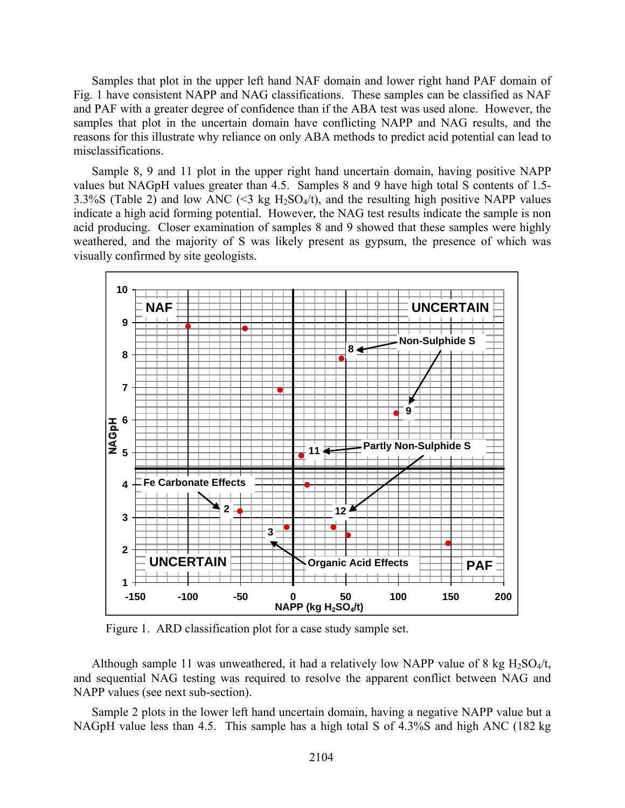Samples that plot in the upper left hand NAF domain and lower right hand PAF domain of Fig. 1 have consistent NAPP and NAG classifications. These samples can be classified as NAF and PAF with a greater degree of confidence than if the ABA test was used alone. However, the samples that plot in the uncertain domain have conflicting NAPP and NAG results, and the reasons for this illustrate why reliance on only ABA methods to predict acid potential can lead to misclassifications.

Sample 8, 9 and 11 plot in the upper right hand uncertain domain, having positive NAPP values but NAGpH values greater than 4.5. Samples 8 and 9 have high total S contents of 1.5- 3.3%S (Table 2) and low ANC (<3 kg  $H_2SO_4/t$ ), and the resulting high positive NAPP values indicate a high acid forming potential. However, the NAG test results indicate the sample is non acid producing. Closer examination of samples 8 and 9 showed that these samples were highly weathered, and the majority of S was likely present as gypsum, the presence of which was visually confirmed by site geologists.



Figure 1. ARD classification plot for a case study sample set.

Although sample 11 was unweathered, it had a relatively low NAPP value of 8 kg  $H_2SO_4/t$ , and sequential NAG testing was required to resolve the apparent conflict between NAG and NAPP values (see next sub-section).

Sample 2 plots in the lower left hand uncertain domain, having a negative NAPP value but a NAGpH value less than 4.5. This sample has a high total S of 4.3%S and high ANC (182 kg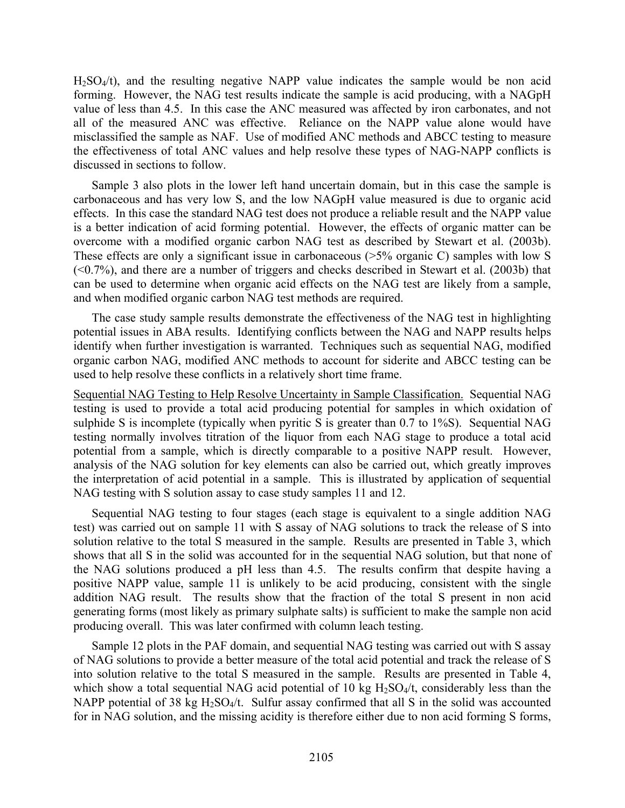H2SO4/t), and the resulting negative NAPP value indicates the sample would be non acid forming. However, the NAG test results indicate the sample is acid producing, with a NAGpH value of less than 4.5. In this case the ANC measured was affected by iron carbonates, and not all of the measured ANC was effective. Reliance on the NAPP value alone would have misclassified the sample as NAF. Use of modified ANC methods and ABCC testing to measure the effectiveness of total ANC values and help resolve these types of NAG-NAPP conflicts is discussed in sections to follow.

Sample 3 also plots in the lower left hand uncertain domain, but in this case the sample is carbonaceous and has very low S, and the low NAGpH value measured is due to organic acid effects. In this case the standard NAG test does not produce a reliable result and the NAPP value is a better indication of acid forming potential. However, the effects of organic matter can be overcome with a modified organic carbon NAG test as described by Stewart et al. (2003b). These effects are only a significant issue in carbonaceous (>5% organic C) samples with low S (<0.7%), and there are a number of triggers and checks described in Stewart et al. (2003b) that can be used to determine when organic acid effects on the NAG test are likely from a sample, and when modified organic carbon NAG test methods are required.

The case study sample results demonstrate the effectiveness of the NAG test in highlighting potential issues in ABA results. Identifying conflicts between the NAG and NAPP results helps identify when further investigation is warranted. Techniques such as sequential NAG, modified organic carbon NAG, modified ANC methods to account for siderite and ABCC testing can be used to help resolve these conflicts in a relatively short time frame.

Sequential NAG Testing to Help Resolve Uncertainty in Sample Classification. Sequential NAG testing is used to provide a total acid producing potential for samples in which oxidation of sulphide S is incomplete (typically when pyritic S is greater than 0.7 to 1%S). Sequential NAG testing normally involves titration of the liquor from each NAG stage to produce a total acid potential from a sample, which is directly comparable to a positive NAPP result. However, analysis of the NAG solution for key elements can also be carried out, which greatly improves the interpretation of acid potential in a sample. This is illustrated by application of sequential NAG testing with S solution assay to case study samples 11 and 12.

Sequential NAG testing to four stages (each stage is equivalent to a single addition NAG test) was carried out on sample 11 with S assay of NAG solutions to track the release of S into solution relative to the total S measured in the sample. Results are presented in Table 3, which shows that all S in the solid was accounted for in the sequential NAG solution, but that none of the NAG solutions produced a pH less than 4.5. The results confirm that despite having a positive NAPP value, sample 11 is unlikely to be acid producing, consistent with the single addition NAG result. The results show that the fraction of the total S present in non acid generating forms (most likely as primary sulphate salts) is sufficient to make the sample non acid producing overall. This was later confirmed with column leach testing.

Sample 12 plots in the PAF domain, and sequential NAG testing was carried out with S assay of NAG solutions to provide a better measure of the total acid potential and track the release of S into solution relative to the total S measured in the sample. Results are presented in Table 4, which show a total sequential NAG acid potential of 10 kg  $H_2SO_4/t$ , considerably less than the NAPP potential of 38 kg  $H_2SO_4/t$ . Sulfur assay confirmed that all S in the solid was accounted for in NAG solution, and the missing acidity is therefore either due to non acid forming S forms,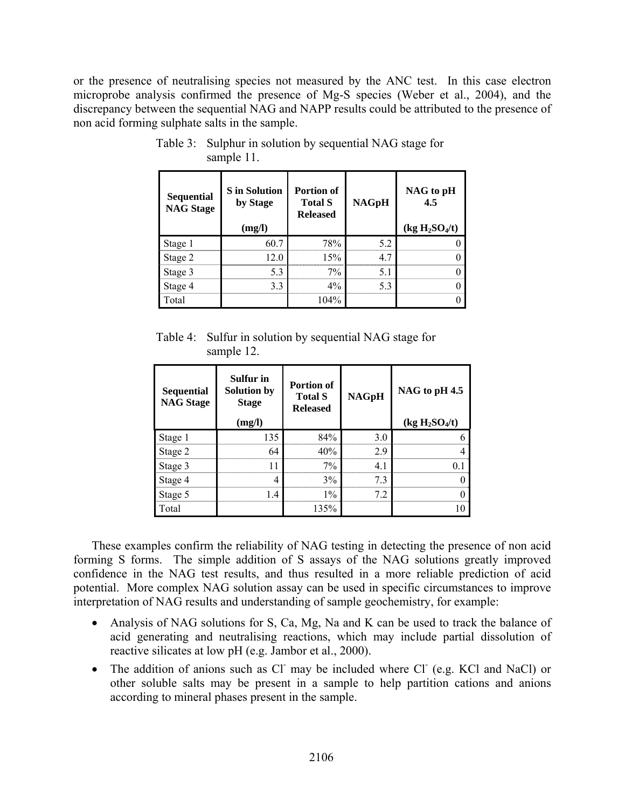or the presence of neutralising species not measured by the ANC test. In this case electron microprobe analysis confirmed the presence of Mg-S species (Weber et al., 2004), and the discrepancy between the sequential NAG and NAPP results could be attributed to the presence of non acid forming sulphate salts in the sample.

| <b>Sequential</b><br><b>NAG Stage</b> | <b>S</b> in Solution<br>by Stage<br>(mg/l) | <b>Portion of</b><br><b>Total S</b><br><b>Released</b> | <b>NAGpH</b> | NAG to pH<br>45<br>(kg H <sub>2</sub> SO <sub>4</sub> /t) |
|---------------------------------------|--------------------------------------------|--------------------------------------------------------|--------------|-----------------------------------------------------------|
| Stage 1                               | 60.7                                       | 78%                                                    | 52           |                                                           |
| Stage 2                               | 12.0                                       | 15%                                                    | 47           |                                                           |
| Stage 3                               | 5.3                                        | $7\%$                                                  |              |                                                           |
| Stage 4                               | 3.3                                        | $4\%$                                                  | 53           |                                                           |
| Total                                 |                                            | 104%                                                   |              |                                                           |

Table 3: Sulphur in solution by sequential NAG stage for sample 11.

Table 4: Sulfur in solution by sequential NAG stage for sample 12.

| Sequential<br><b>NAG Stage</b> | Sulfur in<br><b>Solution by</b><br><b>Stage</b> | <b>Portion of</b><br><b>Total S</b><br><b>Released</b> | <b>NAGpH</b> | NAG to pH 4.5                          |
|--------------------------------|-------------------------------------------------|--------------------------------------------------------|--------------|----------------------------------------|
|                                | (mg/l)                                          |                                                        |              | (kg H <sub>2</sub> SO <sub>4</sub> /t) |
| Stage 1                        | 135                                             | 84%                                                    | 30           | 6                                      |
| Stage 2                        | 64                                              | 40%                                                    | 29           |                                        |
| Stage 3                        | 11                                              | $7\%$                                                  |              | 0.1                                    |
| Stage 4                        | 4                                               | 3%                                                     | 73           | 0                                      |
| Stage 5                        | 1.4                                             | $1\%$                                                  | 72           | 0                                      |
| Total                          |                                                 | 135%                                                   |              | 10                                     |

These examples confirm the reliability of NAG testing in detecting the presence of non acid forming S forms. The simple addition of S assays of the NAG solutions greatly improved confidence in the NAG test results, and thus resulted in a more reliable prediction of acid potential. More complex NAG solution assay can be used in specific circumstances to improve interpretation of NAG results and understanding of sample geochemistry, for example:

- Analysis of NAG solutions for S, Ca, Mg, Na and K can be used to track the balance of acid generating and neutralising reactions, which may include partial dissolution of reactive silicates at low pH (e.g. Jambor et al., 2000).
- The addition of anions such as Cl may be included where Cl (e.g. KCl and NaCl) or other soluble salts may be present in a sample to help partition cations and anions according to mineral phases present in the sample.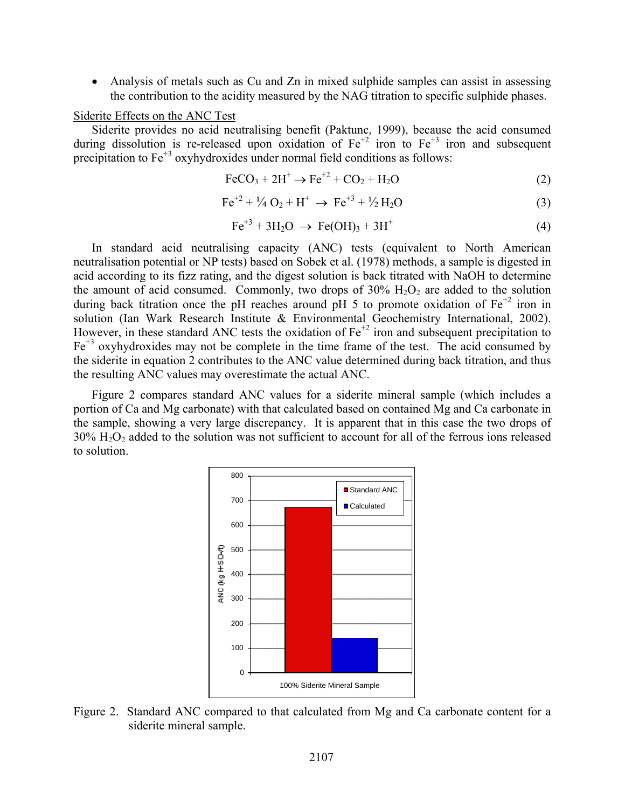• Analysis of metals such as Cu and Zn in mixed sulphide samples can assist in assessing the contribution to the acidity measured by the NAG titration to specific sulphide phases.

#### Siderite Effects on the ANC Test

Siderite provides no acid neutralising benefit (Paktunc, 1999), because the acid consumed during dissolution is re-released upon oxidation of  $Fe^{+2}$  iron to  $Fe^{+3}$  iron and subsequent precipitation to  $Fe^{+3}$  oxyhydroxides under normal field conditions as follows:

$$
\text{FeCO}_3 + 2\text{H}^+ \rightarrow \text{Fe}^{+2} + \text{CO}_2 + \text{H}_2\text{O}
$$
 (2)

$$
\text{Fe}^{+2} + \frac{1}{4} \text{O}_2 + \text{H}^+ \rightarrow \text{Fe}^{+3} + \frac{1}{2} \text{H}_2\text{O}
$$
 (3)

$$
\text{Fe}^{+3} + 3\text{H}_2\text{O} \rightarrow \text{Fe(OH)}_3 + 3\text{H}^+ \tag{4}
$$

In standard acid neutralising capacity (ANC) tests (equivalent to North American neutralisation potential or NP tests) based on Sobek et al. (1978) methods, a sample is digested in acid according to its fizz rating, and the digest solution is back titrated with NaOH to determine the amount of acid consumed. Commonly, two drops of  $30\%$   $H_2O_2$  are added to the solution during back titration once the pH reaches around pH 5 to promote oxidation of  $Fe^{+2}$  iron in solution (Ian Wark Research Institute & Environmental Geochemistry International, 2002). However, in these standard ANC tests the oxidation of  $Fe^{+2}$  iron and subsequent precipitation to  $Fe<sup>+3</sup>$  oxyhydroxides may not be complete in the time frame of the test. The acid consumed by the siderite in equation 2 contributes to the ANC value determined during back titration, and thus the resulting ANC values may overestimate the actual ANC.

Figure 2 compares standard ANC values for a siderite mineral sample (which includes a portion of Ca and Mg carbonate) with that calculated based on contained Mg and Ca carbonate in the sample, showing a very large discrepancy. It is apparent that in this case the two drops of 30% H2O2 added to the solution was not sufficient to account for all of the ferrous ions released to solution.



Figure 2. Standard ANC compared to that calculated from Mg and Ca carbonate content for a siderite mineral sample.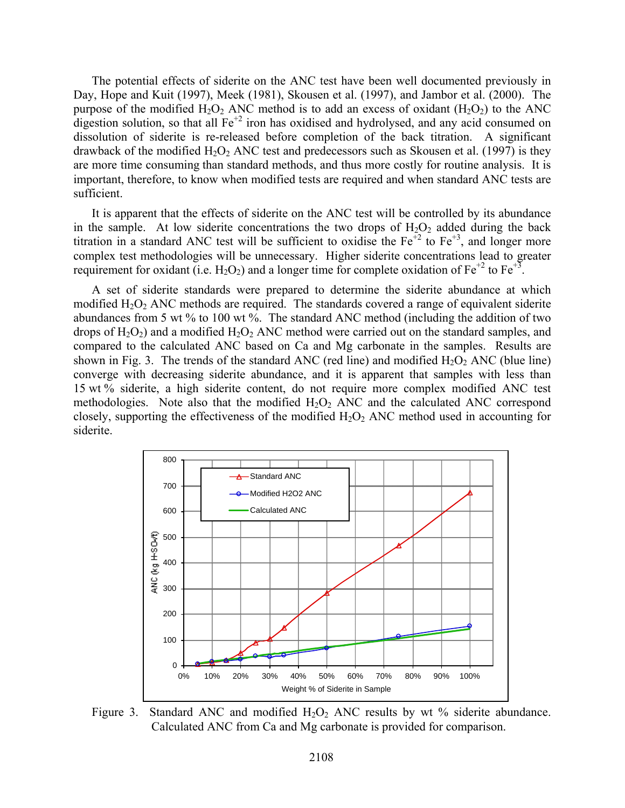The potential effects of siderite on the ANC test have been well documented previously in Day, Hope and Kuit (1997), Meek (1981), Skousen et al. (1997), and Jambor et al. (2000). The purpose of the modified  $H_2O_2$  ANC method is to add an excess of oxidant  $(H_2O_2)$  to the ANC digestion solution, so that all  $Fe^{+2}$  iron has oxidised and hydrolysed, and any acid consumed on dissolution of siderite is re-released before completion of the back titration. A significant drawback of the modified  $H_2O_2$  ANC test and predecessors such as Skousen et al. (1997) is they are more time consuming than standard methods, and thus more costly for routine analysis. It is important, therefore, to know when modified tests are required and when standard ANC tests are sufficient.

It is apparent that the effects of siderite on the ANC test will be controlled by its abundance in the sample. At low siderite concentrations the two drops of  $H_2O_2$  added during the back titration in a standard ANC test will be sufficient to oxidise the  $Fe<sup>1/2</sup>$  to  $Fe<sup>1/3</sup>$ , and longer more complex test methodologies will be unnecessary. Higher siderite concentrations lead to greater requirement for oxidant (i.e. H<sub>2</sub>O<sub>2</sub>) and a longer time for complete oxidation of Fe<sup>+2</sup> to Fe<sup>+3</sup>.

A set of siderite standards were prepared to determine the siderite abundance at which modified  $H_2O_2$  ANC methods are required. The standards covered a range of equivalent siderite abundances from 5 wt % to 100 wt %. The standard ANC method (including the addition of two drops of  $H_2O_2$ ) and a modified  $H_2O_2$  ANC method were carried out on the standard samples, and compared to the calculated ANC based on Ca and Mg carbonate in the samples. Results are shown in Fig. 3. The trends of the standard ANC (red line) and modified  $H_2O_2$  ANC (blue line) converge with decreasing siderite abundance, and it is apparent that samples with less than 15 wt % siderite, a high siderite content, do not require more complex modified ANC test methodologies. Note also that the modified  $H_2O_2$  ANC and the calculated ANC correspond closely, supporting the effectiveness of the modified  $H_2O_2$  ANC method used in accounting for siderite.



Figure 3. Standard ANC and modified  $H_2O_2$  ANC results by wt % siderite abundance. Calculated ANC from Ca and Mg carbonate is provided for comparison.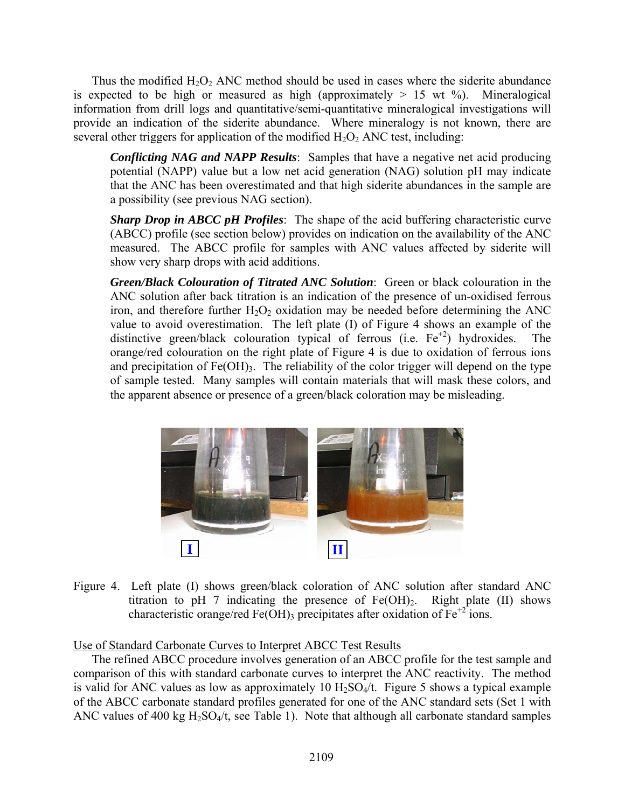Thus the modified  $H_2O_2$  ANC method should be used in cases where the siderite abundance is expected to be high or measured as high (approximately  $> 15$  wt %). Mineralogical information from drill logs and quantitative/semi-quantitative mineralogical investigations will provide an indication of the siderite abundance. Where mineralogy is not known, there are several other triggers for application of the modified  $H_2O_2$  ANC test, including:

*Conflicting NAG and NAPP Results*: Samples that have a negative net acid producing potential (NAPP) value but a low net acid generation (NAG) solution pH may indicate that the ANC has been overestimated and that high siderite abundances in the sample are a possibility (see previous NAG section).

*Sharp Drop in ABCC pH Profiles*: The shape of the acid buffering characteristic curve (ABCC) profile (see section below) provides on indication on the availability of the ANC measured. The ABCC profile for samples with ANC values affected by siderite will show very sharp drops with acid additions.

*Green/Black Colouration of Titrated ANC Solution*: Green or black colouration in the ANC solution after back titration is an indication of the presence of un-oxidised ferrous iron, and therefore further  $H_2O_2$  oxidation may be needed before determining the ANC value to avoid overestimation. The left plate (I) of Figure 4 shows an example of the distinctive green/black colouration typical of ferrous (i.e.  $Fe^{+2}$ ) hydroxides. The orange/red colouration on the right plate of Figure 4 is due to oxidation of ferrous ions and precipitation of  $Fe(OH)_{3}$ . The reliability of the color trigger will depend on the type of sample tested. Many samples will contain materials that will mask these colors, and the apparent absence or presence of a green/black coloration may be misleading.



Figure 4. Left plate (I) shows green/black coloration of ANC solution after standard ANC titration to pH 7 indicating the presence of  $Fe(OH)_2$ . Right plate (II) shows characteristic orange/red Fe(OH)<sub>3</sub> precipitates after oxidation of Fe<sup>+2</sup> ions.

## Use of Standard Carbonate Curves to Interpret ABCC Test Results

The refined ABCC procedure involves generation of an ABCC profile for the test sample and comparison of this with standard carbonate curves to interpret the ANC reactivity. The method is valid for ANC values as low as approximately 10  $H_2SO_4/t$ . Figure 5 shows a typical example of the ABCC carbonate standard profiles generated for one of the ANC standard sets (Set 1 with ANC values of 400 kg  $H_2SO_4/t$ , see Table 1). Note that although all carbonate standard samples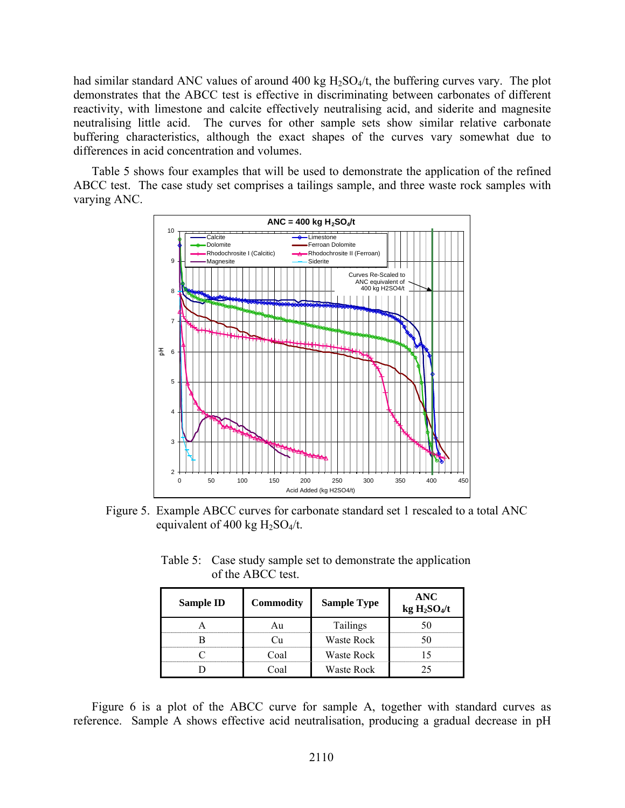had similar standard ANC values of around 400 kg  $H_2SO_4/t$ , the buffering curves vary. The plot demonstrates that the ABCC test is effective in discriminating between carbonates of different reactivity, with limestone and calcite effectively neutralising acid, and siderite and magnesite neutralising little acid. The curves for other sample sets show similar relative carbonate buffering characteristics, although the exact shapes of the curves vary somewhat due to differences in acid concentration and volumes.

Table 5 shows four examples that will be used to demonstrate the application of the refined ABCC test. The case study set comprises a tailings sample, and three waste rock samples with varying ANC.



Figure 5. Example ABCC curves for carbonate standard set 1 rescaled to a total ANC equivalent of 400 kg  $H_2SO_4/t$ .

| Table 5: Case study sample set to demonstrate the application |
|---------------------------------------------------------------|
| of the ABCC test.                                             |

| <b>Sample ID</b> | <b>Commodity</b> | <b>Sample Type</b> | ANC<br>kg H <sub>2</sub> SO <sub>4</sub> /t |
|------------------|------------------|--------------------|---------------------------------------------|
|                  |                  | Tailings           |                                             |
|                  |                  | Waste Rock         |                                             |
|                  | nal              | Waste Rock         |                                             |
|                  |                  | Waste Rock         |                                             |

Figure 6 is a plot of the ABCC curve for sample A, together with standard curves as reference. Sample A shows effective acid neutralisation, producing a gradual decrease in pH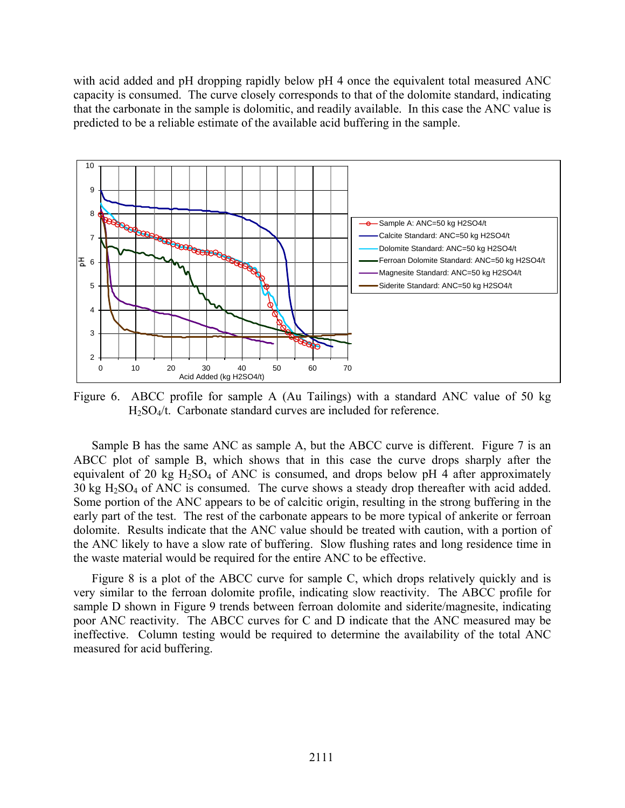with acid added and pH dropping rapidly below pH 4 once the equivalent total measured ANC capacity is consumed. The curve closely corresponds to that of the dolomite standard, indicating that the carbonate in the sample is dolomitic, and readily available. In this case the ANC value is predicted to be a reliable estimate of the available acid buffering in the sample.



Figure 6. ABCC profile for sample A (Au Tailings) with a standard ANC value of 50 kg H2SO4/t. Carbonate standard curves are included for reference.

Sample B has the same ANC as sample A, but the ABCC curve is different. Figure 7 is an ABCC plot of sample B, which shows that in this case the curve drops sharply after the equivalent of 20 kg  $H_2SO_4$  of ANC is consumed, and drops below pH 4 after approximately 30 kg H2SO4 of ANC is consumed. The curve shows a steady drop thereafter with acid added. Some portion of the ANC appears to be of calcitic origin, resulting in the strong buffering in the early part of the test. The rest of the carbonate appears to be more typical of ankerite or ferroan dolomite. Results indicate that the ANC value should be treated with caution, with a portion of the ANC likely to have a slow rate of buffering. Slow flushing rates and long residence time in the waste material would be required for the entire ANC to be effective.

Figure 8 is a plot of the ABCC curve for sample C, which drops relatively quickly and is very similar to the ferroan dolomite profile, indicating slow reactivity. The ABCC profile for sample D shown in Figure 9 trends between ferroan dolomite and siderite/magnesite, indicating poor ANC reactivity. The ABCC curves for C and D indicate that the ANC measured may be ineffective. Column testing would be required to determine the availability of the total ANC measured for acid buffering.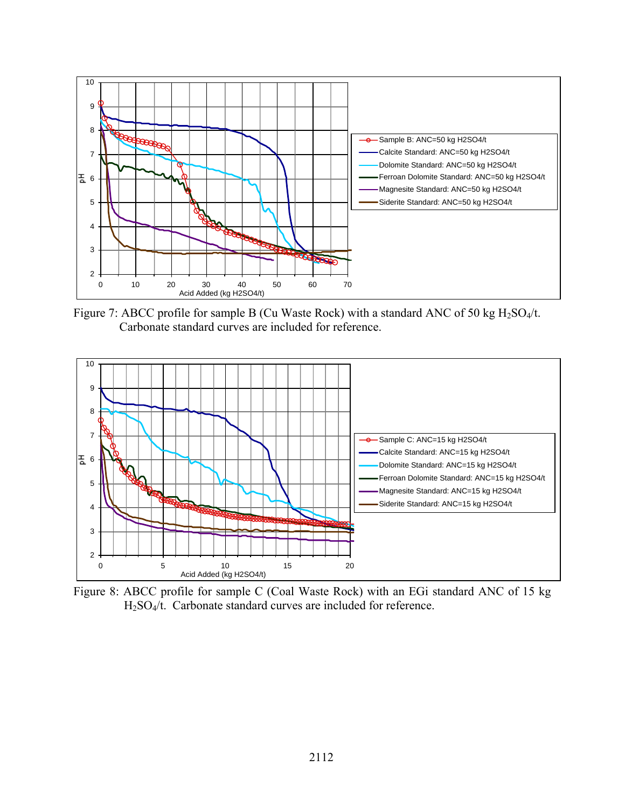

Figure 7: ABCC profile for sample B (Cu Waste Rock) with a standard ANC of 50 kg  $H_2SO_4/t$ . Carbonate standard curves are included for reference.



Figure 8: ABCC profile for sample C (Coal Waste Rock) with an EGi standard ANC of 15 kg H2SO4/t. Carbonate standard curves are included for reference.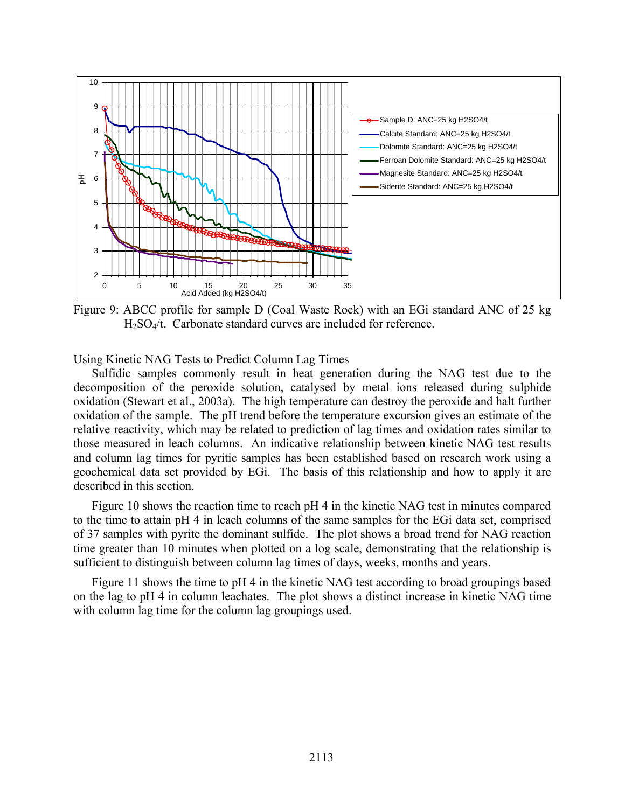

Figure 9: ABCC profile for sample D (Coal Waste Rock) with an EGi standard ANC of 25 kg H2SO4/t. Carbonate standard curves are included for reference.

### Using Kinetic NAG Tests to Predict Column Lag Times

Sulfidic samples commonly result in heat generation during the NAG test due to the decomposition of the peroxide solution, catalysed by metal ions released during sulphide oxidation (Stewart et al., 2003a). The high temperature can destroy the peroxide and halt further oxidation of the sample. The pH trend before the temperature excursion gives an estimate of the relative reactivity, which may be related to prediction of lag times and oxidation rates similar to those measured in leach columns. An indicative relationship between kinetic NAG test results and column lag times for pyritic samples has been established based on research work using a geochemical data set provided by EGi. The basis of this relationship and how to apply it are described in this section.

Figure 10 shows the reaction time to reach pH 4 in the kinetic NAG test in minutes compared to the time to attain pH 4 in leach columns of the same samples for the EGi data set, comprised of 37 samples with pyrite the dominant sulfide. The plot shows a broad trend for NAG reaction time greater than 10 minutes when plotted on a log scale, demonstrating that the relationship is sufficient to distinguish between column lag times of days, weeks, months and years.

Figure 11 shows the time to pH 4 in the kinetic NAG test according to broad groupings based on the lag to pH 4 in column leachates. The plot shows a distinct increase in kinetic NAG time with column lag time for the column lag groupings used.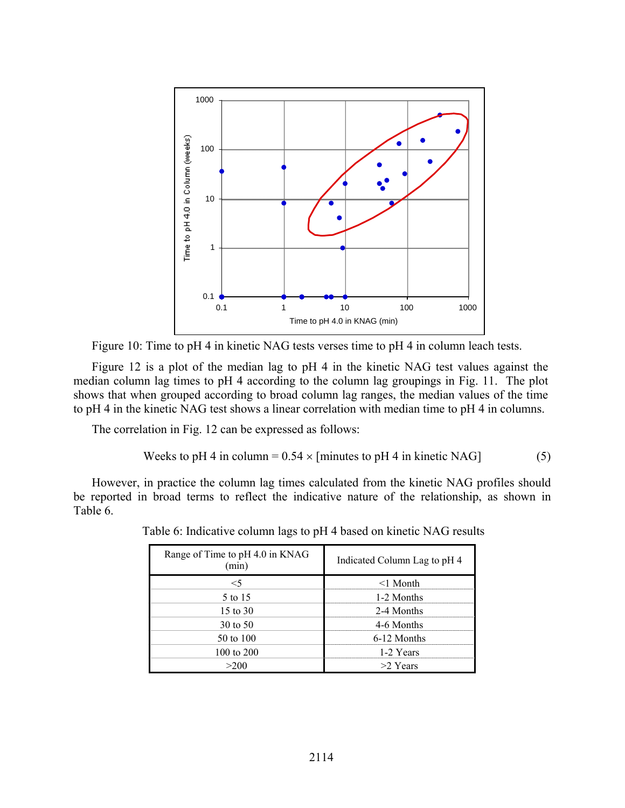

Figure 10: Time to pH 4 in kinetic NAG tests verses time to pH 4 in column leach tests.

Figure 12 is a plot of the median lag to pH 4 in the kinetic NAG test values against the median column lag times to pH 4 according to the column lag groupings in Fig. 11. The plot shows that when grouped according to broad column lag ranges, the median values of the time to pH 4 in the kinetic NAG test shows a linear correlation with median time to pH 4 in columns.

The correlation in Fig. 12 can be expressed as follows:

Weeks to pH 4 in column = 
$$
0.54 \times
$$
 [minutes to pH 4 in kinetic NAG] (5)

However, in practice the column lag times calculated from the kinetic NAG profiles should be reported in broad terms to reflect the indicative nature of the relationship, as shown in Table 6.

| Range of Time to pH 4.0 in KNAG<br>min | Indicated Column Lag to pH 4 |  |
|----------------------------------------|------------------------------|--|
|                                        | $<$ 1 Month                  |  |
| 5 to 15                                | 1-2 Months                   |  |
| 15 to 30                               | 2-4 Months                   |  |
| $30 \text{ to } 50$                    | 4-6 Months                   |  |
| 50 to 100                              | 6-12 Months                  |  |
| 100 to 200                             | 1-2 Years                    |  |
|                                        | $>2$ Years                   |  |

Table 6: Indicative column lags to pH 4 based on kinetic NAG results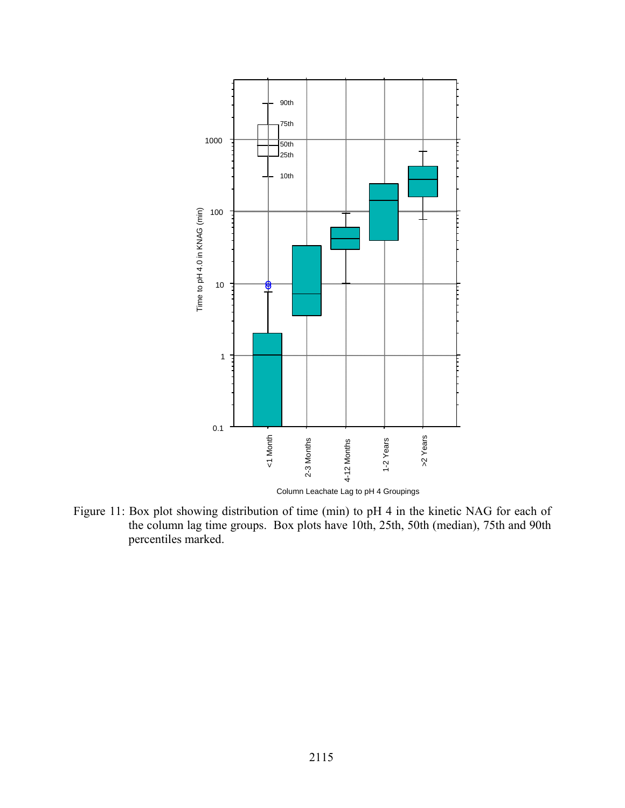

Figure 11: Box plot showing distribution of time (min) to pH 4 in the kinetic NAG for each of the column lag time groups. Box plots have 10th, 25th, 50th (median), 75th and 90th percentiles marked.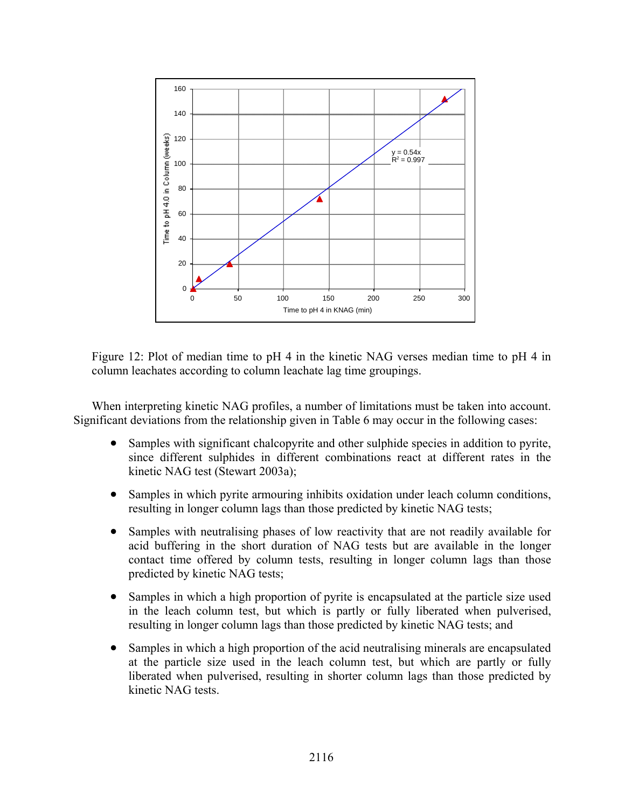

Figure 12: Plot of median time to pH 4 in the kinetic NAG verses median time to pH 4 in column leachates according to column leachate lag time groupings.

When interpreting kinetic NAG profiles, a number of limitations must be taken into account. Significant deviations from the relationship given in Table 6 may occur in the following cases:

- Samples with significant chalcopyrite and other sulphide species in addition to pyrite, since different sulphides in different combinations react at different rates in the kinetic NAG test (Stewart 2003a);
- Samples in which pyrite armouring inhibits oxidation under leach column conditions, resulting in longer column lags than those predicted by kinetic NAG tests;
- Samples with neutralising phases of low reactivity that are not readily available for acid buffering in the short duration of NAG tests but are available in the longer contact time offered by column tests, resulting in longer column lags than those predicted by kinetic NAG tests;
- Samples in which a high proportion of pyrite is encapsulated at the particle size used in the leach column test, but which is partly or fully liberated when pulverised, resulting in longer column lags than those predicted by kinetic NAG tests; and
- Samples in which a high proportion of the acid neutralising minerals are encapsulated at the particle size used in the leach column test, but which are partly or fully liberated when pulverised, resulting in shorter column lags than those predicted by kinetic NAG tests.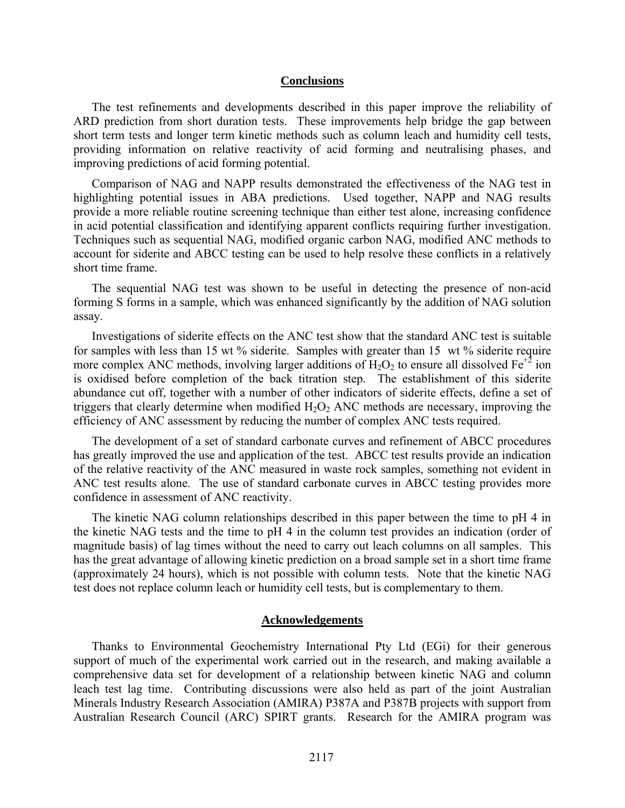#### **Conclusions**

The test refinements and developments described in this paper improve the reliability of ARD prediction from short duration tests. These improvements help bridge the gap between short term tests and longer term kinetic methods such as column leach and humidity cell tests, providing information on relative reactivity of acid forming and neutralising phases, and improving predictions of acid forming potential.

Comparison of NAG and NAPP results demonstrated the effectiveness of the NAG test in highlighting potential issues in ABA predictions. Used together, NAPP and NAG results provide a more reliable routine screening technique than either test alone, increasing confidence in acid potential classification and identifying apparent conflicts requiring further investigation. Techniques such as sequential NAG, modified organic carbon NAG, modified ANC methods to account for siderite and ABCC testing can be used to help resolve these conflicts in a relatively short time frame.

The sequential NAG test was shown to be useful in detecting the presence of non-acid forming S forms in a sample, which was enhanced significantly by the addition of NAG solution assay.

Investigations of siderite effects on the ANC test show that the standard ANC test is suitable for samples with less than 15 wt % siderite. Samples with greater than 15 wt % siderite require more complex ANC methods, involving larger additions of  $H_2O_2$  to ensure all dissolved Fe<sup>+2</sup> ion is oxidised before completion of the back titration step. The establishment of this siderite abundance cut off, together with a number of other indicators of siderite effects, define a set of triggers that clearly determine when modified  $H_2O_2$  ANC methods are necessary, improving the efficiency of ANC assessment by reducing the number of complex ANC tests required.

The development of a set of standard carbonate curves and refinement of ABCC procedures has greatly improved the use and application of the test. ABCC test results provide an indication of the relative reactivity of the ANC measured in waste rock samples, something not evident in ANC test results alone. The use of standard carbonate curves in ABCC testing provides more confidence in assessment of ANC reactivity.

The kinetic NAG column relationships described in this paper between the time to pH 4 in the kinetic NAG tests and the time to pH 4 in the column test provides an indication (order of magnitude basis) of lag times without the need to carry out leach columns on all samples. This has the great advantage of allowing kinetic prediction on a broad sample set in a short time frame (approximately 24 hours), which is not possible with column tests. Note that the kinetic NAG test does not replace column leach or humidity cell tests, but is complementary to them.

#### **Acknowledgements**

Thanks to Environmental Geochemistry International Pty Ltd (EGi) for their generous support of much of the experimental work carried out in the research, and making available a comprehensive data set for development of a relationship between kinetic NAG and column leach test lag time. Contributing discussions were also held as part of the joint Australian Minerals Industry Research Association (AMIRA) P387A and P387B projects with support from Australian Research Council (ARC) SPIRT grants. Research for the AMIRA program was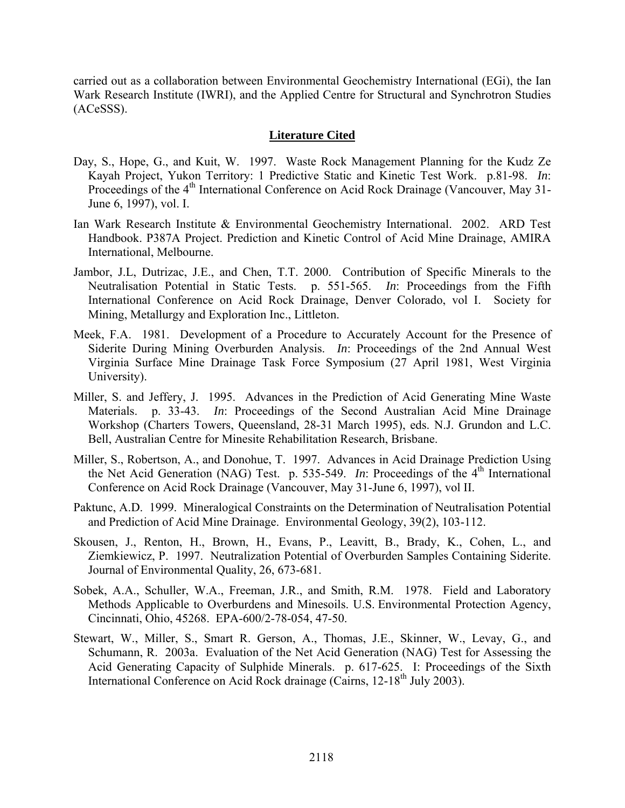carried out as a collaboration between Environmental Geochemistry International (EGi), the Ian Wark Research Institute (IWRI), and the Applied Centre for Structural and Synchrotron Studies (ACeSSS).

### **Literature Cited**

- Day, S., Hope, G., and Kuit, W. 1997. Waste Rock Management Planning for the Kudz Ze Kayah Project, Yukon Territory: 1 Predictive Static and Kinetic Test Work. p.81-98. *In*: Proceedings of the 4<sup>th</sup> International Conference on Acid Rock Drainage (Vancouver, May 31-June 6, 1997), vol. I.
- Ian Wark Research Institute & Environmental Geochemistry International. 2002. ARD Test Handbook. P387A Project. Prediction and Kinetic Control of Acid Mine Drainage, AMIRA International, Melbourne.
- Jambor, J.L, Dutrizac, J.E., and Chen, T.T. 2000. Contribution of Specific Minerals to the Neutralisation Potential in Static Tests. p. 551-565. *In*: Proceedings from the Fifth International Conference on Acid Rock Drainage, Denver Colorado, vol I. Society for Mining, Metallurgy and Exploration Inc., Littleton.
- Meek, F.A. 1981. Development of a Procedure to Accurately Account for the Presence of Siderite During Mining Overburden Analysis. *In*: Proceedings of the 2nd Annual West Virginia Surface Mine Drainage Task Force Symposium (27 April 1981, West Virginia University).
- Miller, S. and Jeffery, J. 1995. Advances in the Prediction of Acid Generating Mine Waste Materials. p. 33-43. *In*: Proceedings of the Second Australian Acid Mine Drainage Workshop (Charters Towers, Queensland, 28-31 March 1995), eds. N.J. Grundon and L.C. Bell, Australian Centre for Minesite Rehabilitation Research, Brisbane.
- Miller, S., Robertson, A., and Donohue, T. 1997. Advances in Acid Drainage Prediction Using the Net Acid Generation (NAG) Test. p. 535-549. *In*: Proceedings of the  $4<sup>th</sup>$  International Conference on Acid Rock Drainage (Vancouver, May 31-June 6, 1997), vol II.
- Paktunc, A.D. 1999. Mineralogical Constraints on the Determination of Neutralisation Potential and Prediction of Acid Mine Drainage. Environmental Geology, 39(2), 103-112.
- Skousen, J., Renton, H., Brown, H., Evans, P., Leavitt, B., Brady, K., Cohen, L., and Ziemkiewicz, P. 1997. Neutralization Potential of Overburden Samples Containing Siderite. Journal of Environmental Quality, 26, 673-681.
- Sobek, A.A., Schuller, W.A., Freeman, J.R., and Smith, R.M. 1978. Field and Laboratory Methods Applicable to Overburdens and Minesoils. U.S. Environmental Protection Agency, Cincinnati, Ohio, 45268. EPA-600/2-78-054, 47-50.
- Stewart, W., Miller, S., Smart R. Gerson, A., Thomas, J.E., Skinner, W., Levay, G., and Schumann, R. 2003a. Evaluation of the Net Acid Generation (NAG) Test for Assessing the Acid Generating Capacity of Sulphide Minerals. p. 617-625. I: Proceedings of the Sixth International Conference on Acid Rock drainage (Cairns,  $12-18^{th}$  July 2003).